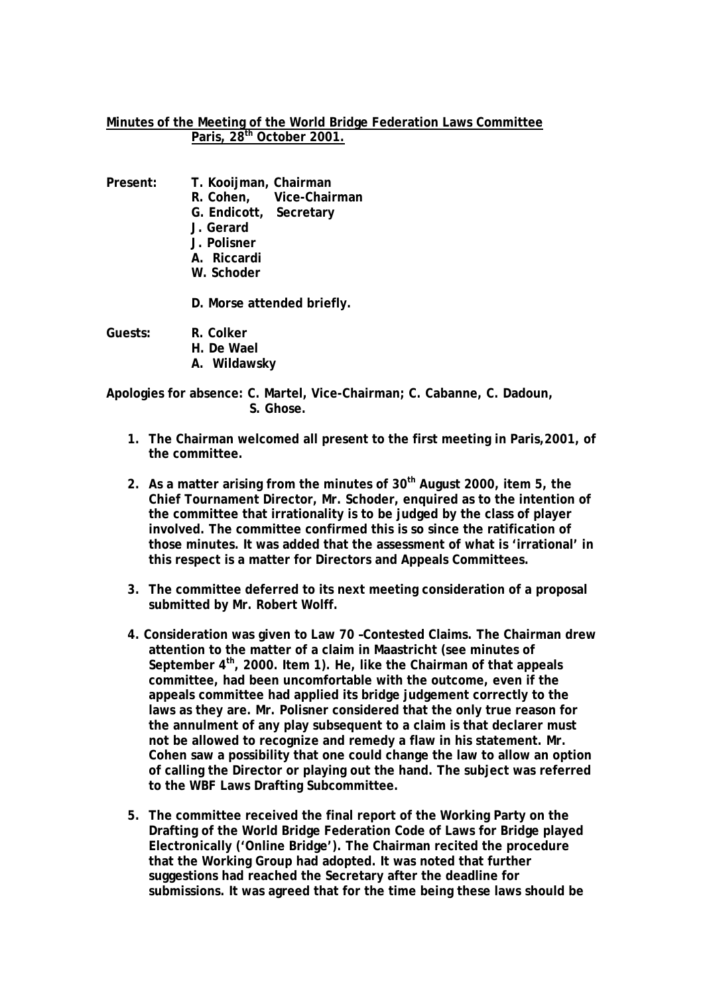## **Minutes of the Meeting of the World Bridge Federation Laws Committee Paris, 28th October 2001.**

- **Present: T. Kooijman, Chairman** 
	- **R. Cohen, Vice-Chairman**
	- **G. Endicott, Secretary**
	- **J. Gerard**
	- **J. Polisner**
	- **A. Riccardi**
	- **W. Schoder**
	- **D. Morse attended briefly.**

**Guests: R. Colker** 

- **H. De Wael**
- **A. Wildawsky**

**Apologies for absence: C. Martel, Vice-Chairman; C. Cabanne, C. Dadoun, S. Ghose.** 

- **1. The Chairman welcomed all present to the first meeting in Paris,2001, of the committee.**
- **2. As a matter arising from the minutes of 30th August 2000, item 5, the Chief Tournament Director, Mr. Schoder, enquired as to the intention of the committee that irrationality is to be judged by the class of player involved. The committee confirmed this is so since the ratification of those minutes. It was added that the assessment of what is 'irrational' in this respect is a matter for Directors and Appeals Committees.**
- **3. The committee deferred to its next meeting consideration of a proposal submitted by Mr. Robert Wolff.**
- **4. Consideration was given to Law 70 –Contested Claims. The Chairman drew attention to the matter of a claim in Maastricht (see minutes of**  September 4<sup>th</sup>, 2000. Item 1). He, like the Chairman of that appeals **committee, had been uncomfortable with the outcome, even if the appeals committee had applied its bridge judgement correctly to the laws as they are. Mr. Polisner considered that the only true reason for the annulment of any play subsequent to a claim is that declarer must not be allowed to recognize and remedy a flaw in his statement. Mr. Cohen saw a possibility that one could change the law to allow an option of calling the Director or playing out the hand. The subject was referred to the WBF Laws Drafting Subcommittee.**
- **5. The committee received the final report of the Working Party on the Drafting of the World Bridge Federation Code of Laws for Bridge played Electronically ('Online Bridge'). The Chairman recited the procedure that the Working Group had adopted. It was noted that further suggestions had reached the Secretary after the deadline for submissions. It was agreed that for the time being these laws should be**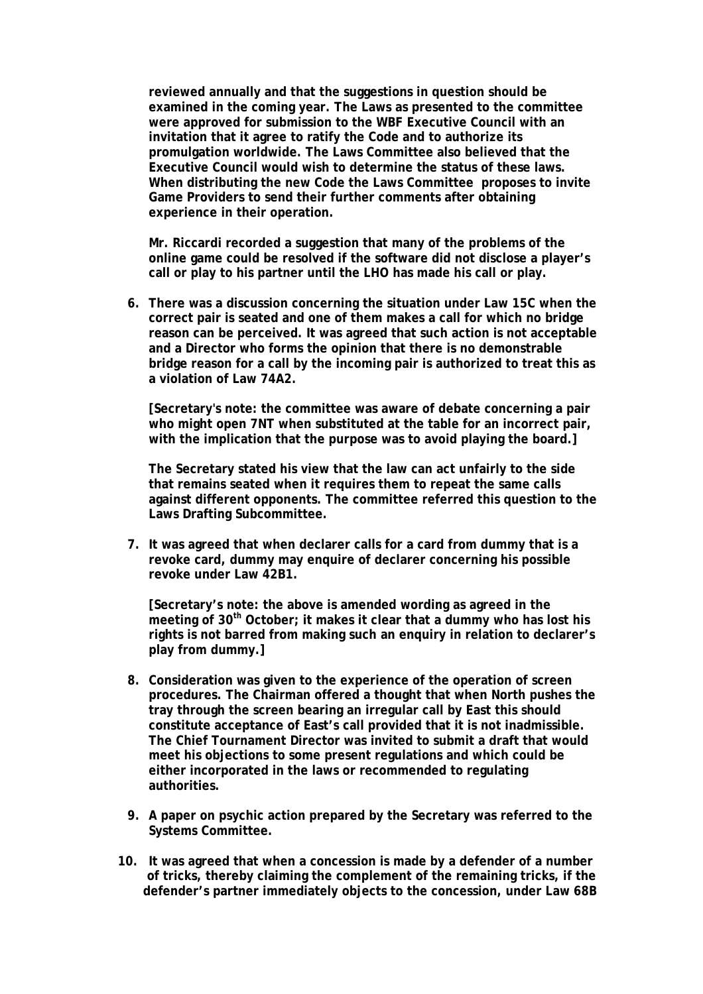**reviewed annually and that the suggestions in question should be examined in the coming year. The Laws as presented to the committee were approved for submission to the WBF Executive Council with an invitation that it agree to ratify the Code and to authorize its promulgation worldwide. The Laws Committee also believed that the Executive Council would wish to determine the status of these laws. When distributing the new Code the Laws Committee proposes to invite Game Providers to send their further comments after obtaining experience in their operation.** 

**Mr. Riccardi recorded a suggestion that many of the problems of the online game could be resolved if the software did not disclose a player's call or play to his partner until the LHO has made his call or play.** 

**6. There was a discussion concerning the situation under Law 15C when the correct pair is seated and one of them makes a call for which no bridge reason can be perceived. It was agreed that such action is not acceptable and a Director who forms the opinion that there is no demonstrable bridge reason for a call by the incoming pair is authorized to treat this as a violation of Law 74A2.** 

**[Secretary's note: the committee was aware of debate concerning a pair who might open 7NT when substituted at the table for an incorrect pair, with the implication that the purpose was to avoid playing the board.]** 

**The Secretary stated his view that the law can act unfairly to the side that remains seated when it requires them to repeat the same calls against different opponents. The committee referred this question to the Laws Drafting Subcommittee.** 

**7. It was agreed that when declarer calls for a card from dummy that is a revoke card, dummy may enquire of declarer concerning his possible revoke under Law 42B1.** 

**[Secretary's note: the above is amended wording as agreed in the meeting of 30th October; it makes it clear that a dummy who has lost his rights is not barred from making such an enquiry in relation to declarer's play from dummy.]** 

- **8. Consideration was given to the experience of the operation of screen procedures. The Chairman offered a thought that when North pushes the tray through the screen bearing an irregular call by East this should constitute acceptance of East's call provided that it is not inadmissible. The Chief Tournament Director was invited to submit a draft that would meet his objections to some present regulations and which could be either incorporated in the laws or recommended to regulating authorities.**
- **9. A paper on psychic action prepared by the Secretary was referred to the Systems Committee.**
- **10. It was agreed that when a concession is made by a defender of a number of tricks, thereby claiming the complement of the remaining tricks, if the defender's partner immediately objects to the concession, under Law 68B**